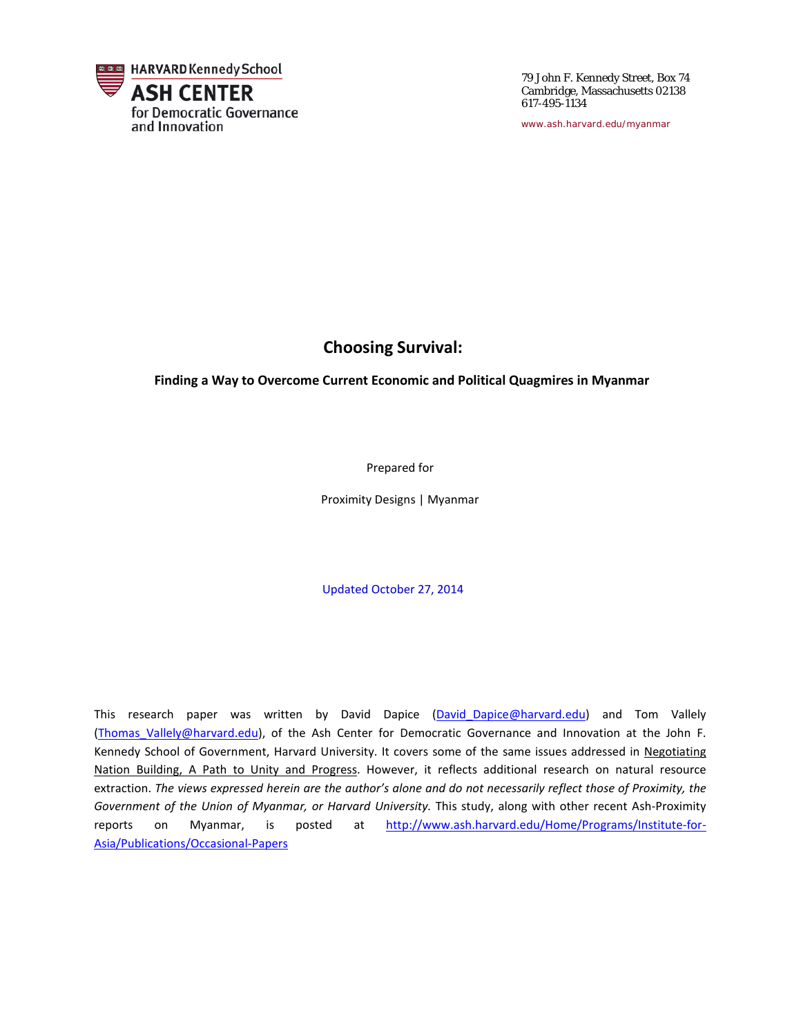

79 John F. Kennedy Street, Box 74 Cambridge, Massachusetts 02138 617-495-1134

*[www.ash.harvard.edu/myanmar](http://www.ash.harvard.edu/myanmar)*

### **Choosing Survival:**

 **Finding a Way to Overcome Current Economic and Political Quagmires in Myanmar** 

Prepared for

Proximity Designs | Myanmar

Updated October 27, 2014

This research paper was written by David Dapice (David Dapice@harvard.edu) and Tom Vallely (Thomas Vallely@harvard.edu), of the Ash Center for Democratic Governance and Innovation at the John F. Kennedy School of Government, Harvard University. It covers some of the same issues addressed in Negotiating Nation Building, A Path to Unity and Progress. However, it reflects additional research on natural resource extraction. *The views expressed herein are the author's alone and do not necessarily reflect those of Proximity, the Government of the Union of Myanmar, or Harvard University.* This study, along with other recent Ash-Proximity reports on Myanmar, is posted at [http://www.ash.harvard.edu/Home/Programs/Institute-for-](http://www.ash.harvard.edu/Home/Programs/Institute-for-Asia/Publications/Occasional-Papers)[Asia/Publications/Occasional-Papers](http://www.ash.harvard.edu/Home/Programs/Institute-for-Asia/Publications/Occasional-Papers)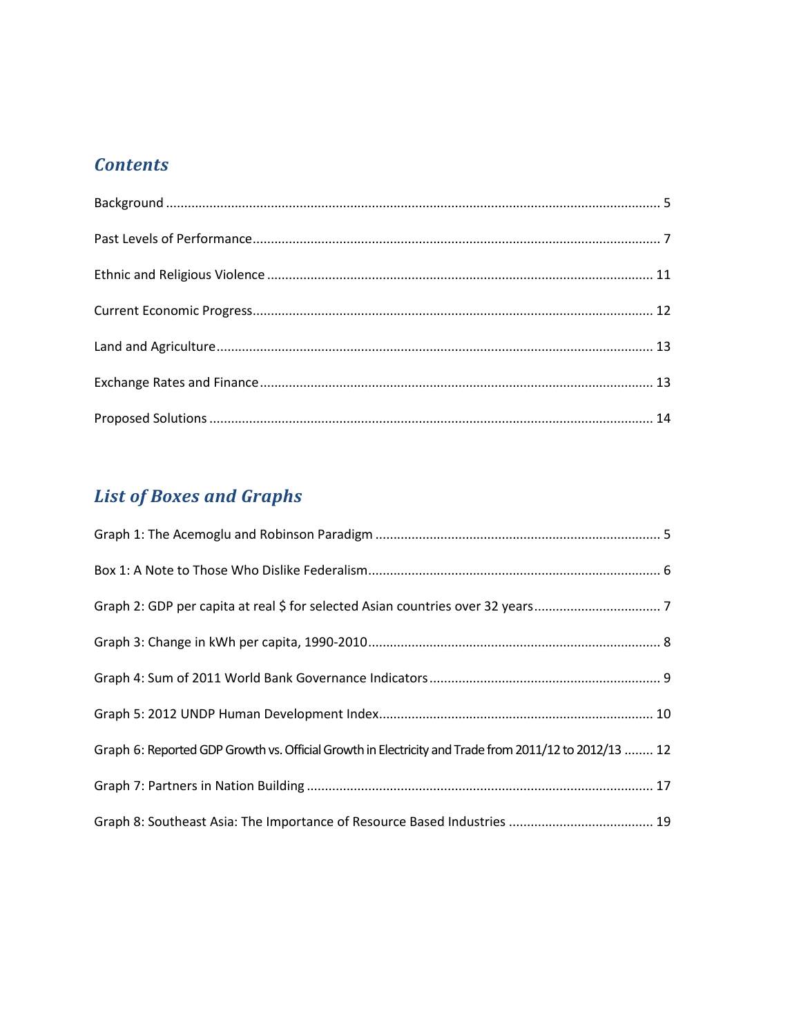### *Contents*

# *List of Boxes and Graphs*

| Graph 6: Reported GDP Growth vs. Official Growth in Electricity and Trade from 2011/12 to 2012/13  12 |  |
|-------------------------------------------------------------------------------------------------------|--|
|                                                                                                       |  |
|                                                                                                       |  |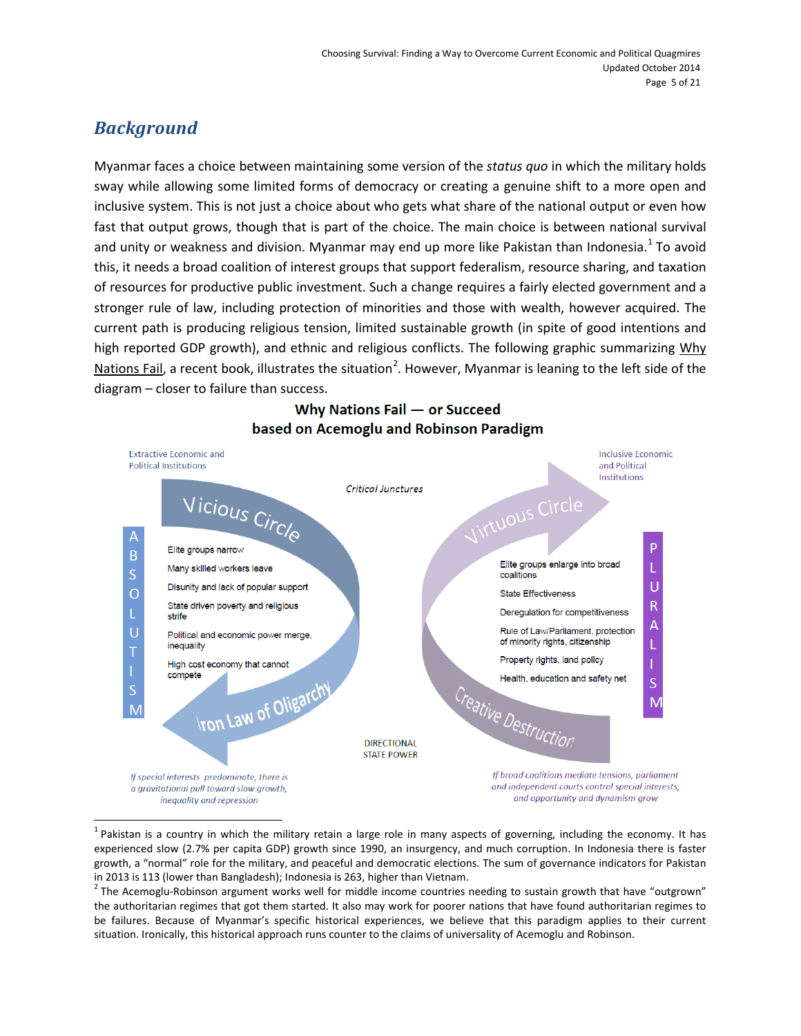## <span id="page-4-0"></span>*Background*

 $\overline{a}$ 

Myanmar faces a choice between maintaining some version of the *status quo* in which the military holds sway while allowing some limited forms of democracy or creating a genuine shift to a more open and inclusive system. This is not just a choice about who gets what share of the national output or even how fast that output grows, though that is part of the choice. The main choice is between national survival and unity or weakness and division. Myanmar may end up more like Pakistan than Indonesia.<sup>[1](#page-4-1)</sup> To avoid this, it needs a broad coalition of interest groups that support federalism, resource sharing, and taxation of resources for productive public investment. Such a change requires a fairly elected government and a stronger rule of law, including protection of minorities and those with wealth, however acquired. The current path is producing religious tension, limited sustainable growth (in spite of good intentions and high reported GDP growth), and ethnic and religious conflicts. The following graphic summarizing Why Nations Fail, a recent book, illustrates the situation<sup>[2](#page-4-2)</sup>. However, Myanmar is leaning to the left side of the diagram – closer to failure than success.

### Why Nations Fail - or Succeed based on Acemoglu and Robinson Paradigm



<span id="page-4-1"></span> $1$  Pakistan is a country in which the military retain a large role in many aspects of governing, including the economy. It has experienced slow (2.7% per capita GDP) growth since 1990, an insurgency, and much corruption. In Indonesia there is faster growth, a "normal" role for the military, and peaceful and democratic elections. The sum of governance indicators for Pakistan in 2013 is 113 (lower than Bangladesh); Indonesia is 263, higher than Vietnam.<br><sup>2</sup> The Acemoglu-Robinson argument works well for middle income countries needing to sustain growth that have "outgrown"

<span id="page-4-2"></span>the authoritarian regimes that got them started. It also may work for poorer nations that have found authoritarian regimes to be failures. Because of Myanmar's specific historical experiences, we believe that this paradigm applies to their current situation. Ironically, this historical approach runs counter to the claims of universality of Acemoglu and Robinson.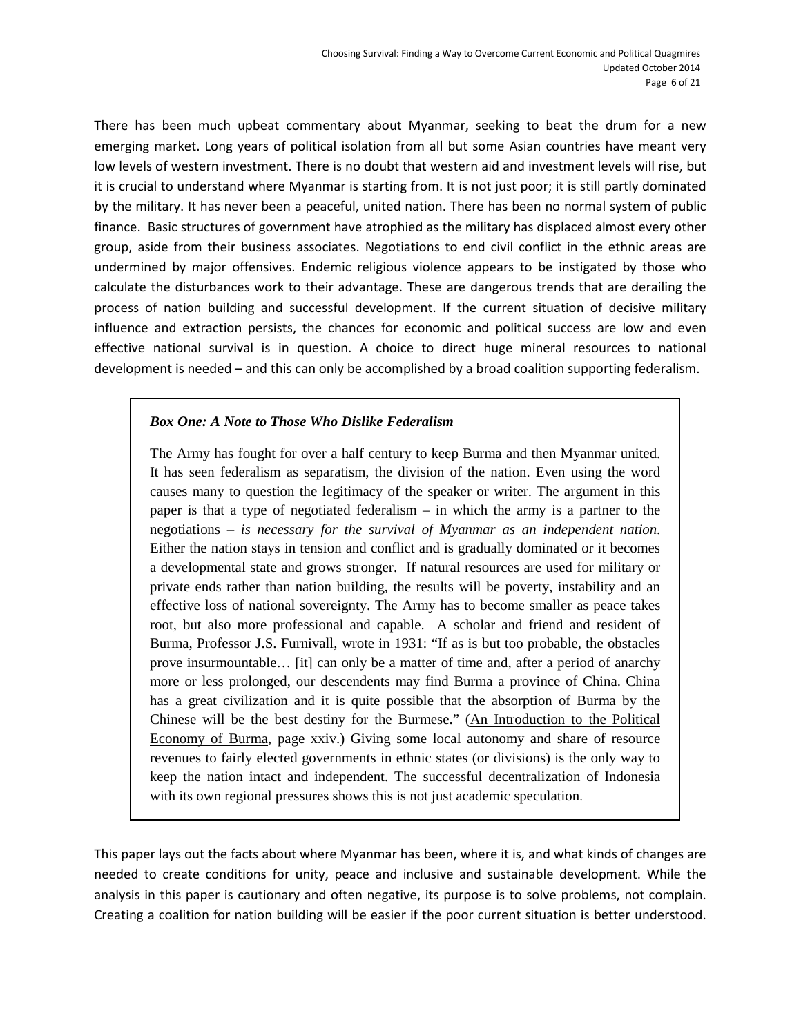There has been much upbeat commentary about Myanmar, seeking to beat the drum for a new emerging market. Long years of political isolation from all but some Asian countries have meant very low levels of western investment. There is no doubt that western aid and investment levels will rise, but it is crucial to understand where Myanmar is starting from. It is not just poor; it is still partly dominated by the military. It has never been a peaceful, united nation. There has been no normal system of public finance. Basic structures of government have atrophied as the military has displaced almost every other group, aside from their business associates. Negotiations to end civil conflict in the ethnic areas are undermined by major offensives. Endemic religious violence appears to be instigated by those who calculate the disturbances work to their advantage. These are dangerous trends that are derailing the process of nation building and successful development. If the current situation of decisive military influence and extraction persists, the chances for economic and political success are low and even effective national survival is in question. A choice to direct huge mineral resources to national development is needed – and this can only be accomplished by a broad coalition supporting federalism.

#### *Box One: A Note to Those Who Dislike Federalism*

The Army has fought for over a half century to keep Burma and then Myanmar united. It has seen federalism as separatism, the division of the nation. Even using the word causes many to question the legitimacy of the speaker or writer. The argument in this paper is that a type of negotiated federalism – in which the army is a partner to the negotiations – *is necessary for the survival of Myanmar as an independent nation*. Either the nation stays in tension and conflict and is gradually dominated or it becomes a developmental state and grows stronger. If natural resources are used for military or private ends rather than nation building, the results will be poverty, instability and an effective loss of national sovereignty. The Army has to become smaller as peace takes root, but also more professional and capable. A scholar and friend and resident of Burma, Professor J.S. Furnivall, wrote in 1931: "If as is but too probable, the obstacles prove insurmountable… [it] can only be a matter of time and, after a period of anarchy more or less prolonged, our descendents may find Burma a province of China. China has a great civilization and it is quite possible that the absorption of Burma by the Chinese will be the best destiny for the Burmese." (An Introduction to the Political Economy of Burma, page xxiv.) Giving some local autonomy and share of resource revenues to fairly elected governments in ethnic states (or divisions) is the only way to keep the nation intact and independent. The successful decentralization of Indonesia with its own regional pressures shows this is not just academic speculation.

This paper lays out the facts about where Myanmar has been, where it is, and what kinds of changes are needed to create conditions for unity, peace and inclusive and sustainable development. While the analysis in this paper is cautionary and often negative, its purpose is to solve problems, not complain. Creating a coalition for nation building will be easier if the poor current situation is better understood.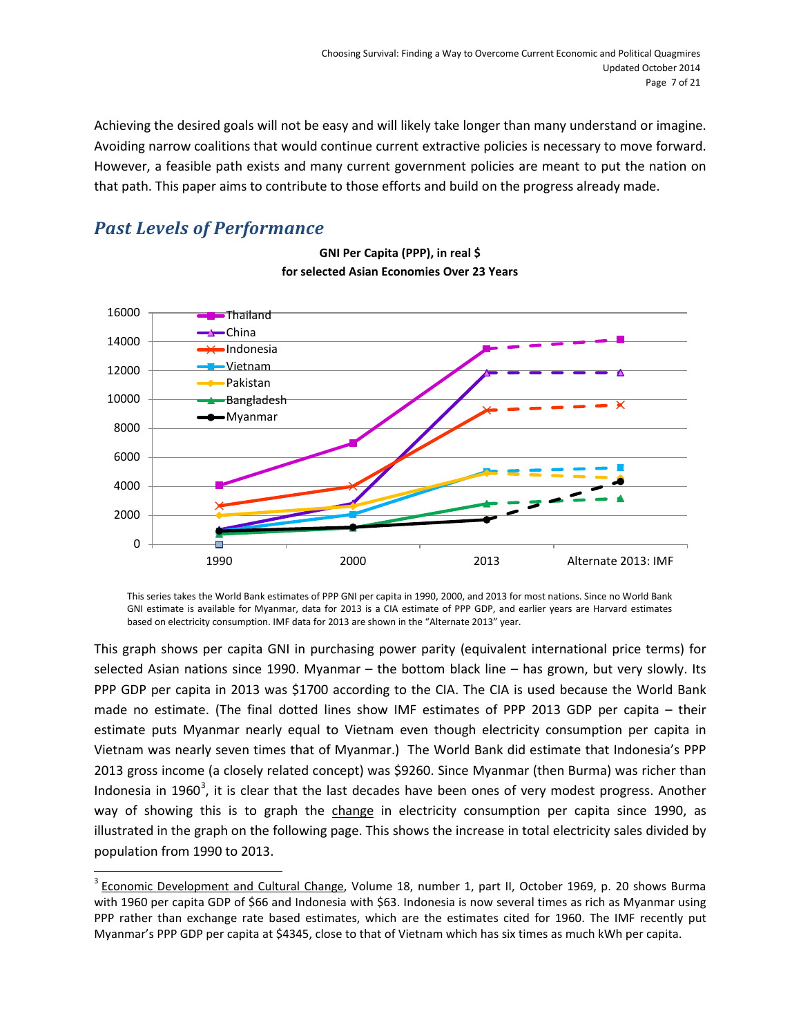Achieving the desired goals will not be easy and will likely take longer than many understand or imagine. Avoiding narrow coalitions that would continue current extractive policies is necessary to move forward. However, a feasible path exists and many current government policies are meant to put the nation on that path. This paper aims to contribute to those efforts and build on the progress already made.

### <span id="page-6-0"></span>*Past Levels of Performance*

 $\overline{a}$ 



**GNI Per Capita (PPP), in real \$ for selected Asian Economies Over 23 Years**

This series takes the World Bank estimates of PPP GNI per capita in 1990, 2000, and 2013 for most nations. Since no World Bank GNI estimate is available for Myanmar, data for 2013 is a CIA estimate of PPP GDP, and earlier years are Harvard estimates based on electricity consumption. IMF data for 2013 are shown in the "Alternate 2013" year.

This graph shows per capita GNI in purchasing power parity (equivalent international price terms) for selected Asian nations since 1990. Myanmar – the bottom black line – has grown, but very slowly. Its PPP GDP per capita in 2013 was \$1700 according to the CIA. The CIA is used because the World Bank made no estimate. (The final dotted lines show IMF estimates of PPP 2013 GDP per capita – their estimate puts Myanmar nearly equal to Vietnam even though electricity consumption per capita in Vietnam was nearly seven times that of Myanmar.) The World Bank did estimate that Indonesia's PPP 2013 gross income (a closely related concept) was \$9260. Since Myanmar (then Burma) was richer than Indonesia in 1960<sup>[3](#page-6-1)</sup>, it is clear that the last decades have been ones of very modest progress. Another way of showing this is to graph the change in electricity consumption per capita since 1990, as illustrated in the graph on the following page. This shows the increase in total electricity sales divided by population from 1990 to 2013.

<span id="page-6-1"></span> $3$  Economic Development and Cultural Change, Volume 18, number 1, part II, October 1969, p. 20 shows Burma with 1960 per capita GDP of \$66 and Indonesia with \$63. Indonesia is now several times as rich as Myanmar using PPP rather than exchange rate based estimates, which are the estimates cited for 1960. The IMF recently put Myanmar's PPP GDP per capita at \$4345, close to that of Vietnam which has six times as much kWh per capita.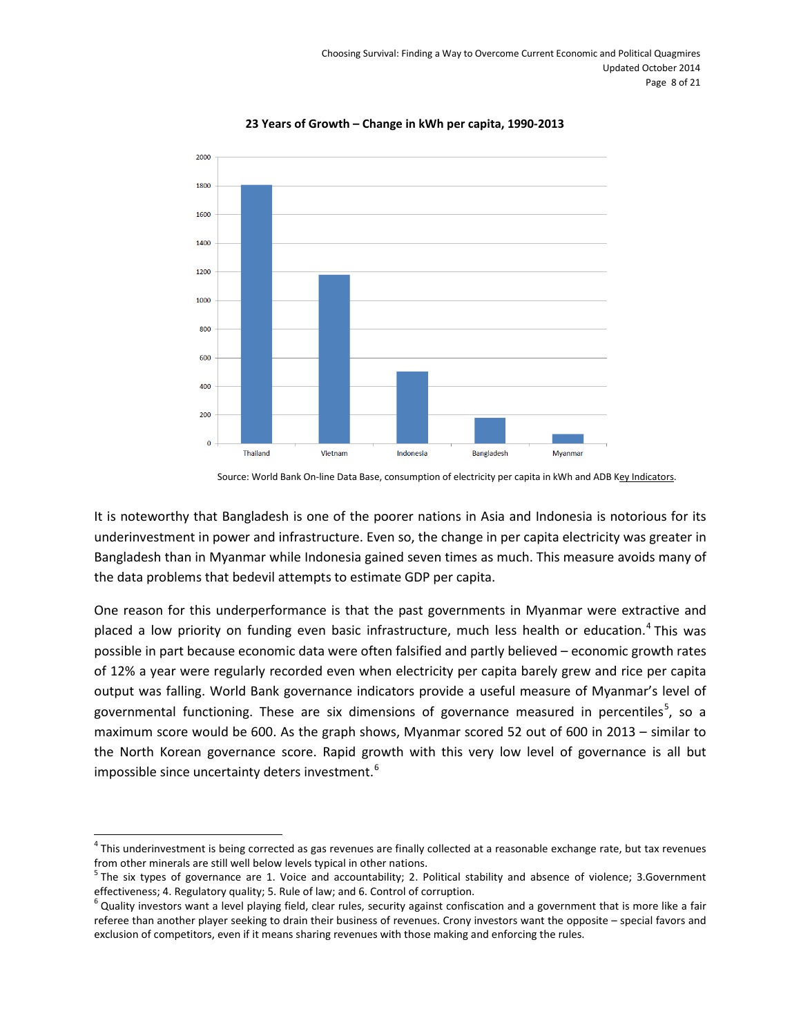

**23 Years of Growth – Change in kWh per capita, 1990-2013**

Source: World Bank On-line Data Base, consumption of electricity per capita in kWh and ADB Key Indicators.

It is noteworthy that Bangladesh is one of the poorer nations in Asia and Indonesia is notorious for its underinvestment in power and infrastructure. Even so, the change in per capita electricity was greater in Bangladesh than in Myanmar while Indonesia gained seven times as much. This measure avoids many of the data problems that bedevil attempts to estimate GDP per capita.

One reason for this underperformance is that the past governments in Myanmar were extractive and placed a low priority on funding even basic infrastructure, much less health or education.<sup>[4](#page-7-0)</sup> This was possible in part because economic data were often falsified and partly believed – economic growth rates of 12% a year were regularly recorded even when electricity per capita barely grew and rice per capita output was falling. World Bank governance indicators provide a useful measure of Myanmar's level of governmental functioning. These are six dimensions of governance measured in percentiles<sup>[5](#page-7-1)</sup>, so a maximum score would be 600. As the graph shows, Myanmar scored 52 out of 600 in 2013 – similar to the North Korean governance score. Rapid growth with this very low level of governance is all but impossible since uncertainty deters investment.<sup>[6](#page-7-2)</sup>

<span id="page-7-0"></span><sup>&</sup>lt;sup>4</sup> This underinvestment is being corrected as gas revenues are finally collected at a reasonable exchange rate, but tax revenues from other minerals are still well below levels typical in other nations. 

<span id="page-7-1"></span> $5$  The six types of governance are 1. Voice and accountability; 2. Political stability and absence of violence; 3. Government effectiveness; 4. Regulatory quality; 5. Rule of law; and 6. Control of corruption.

<span id="page-7-2"></span> $^6$  Quality investors want a level playing field, clear rules, security against confiscation and a government that is more like a fair referee than another player seeking to drain their business of revenues. Crony investors want the opposite – special favors and exclusion of competitors, even if it means sharing revenues with those making and enforcing the rules.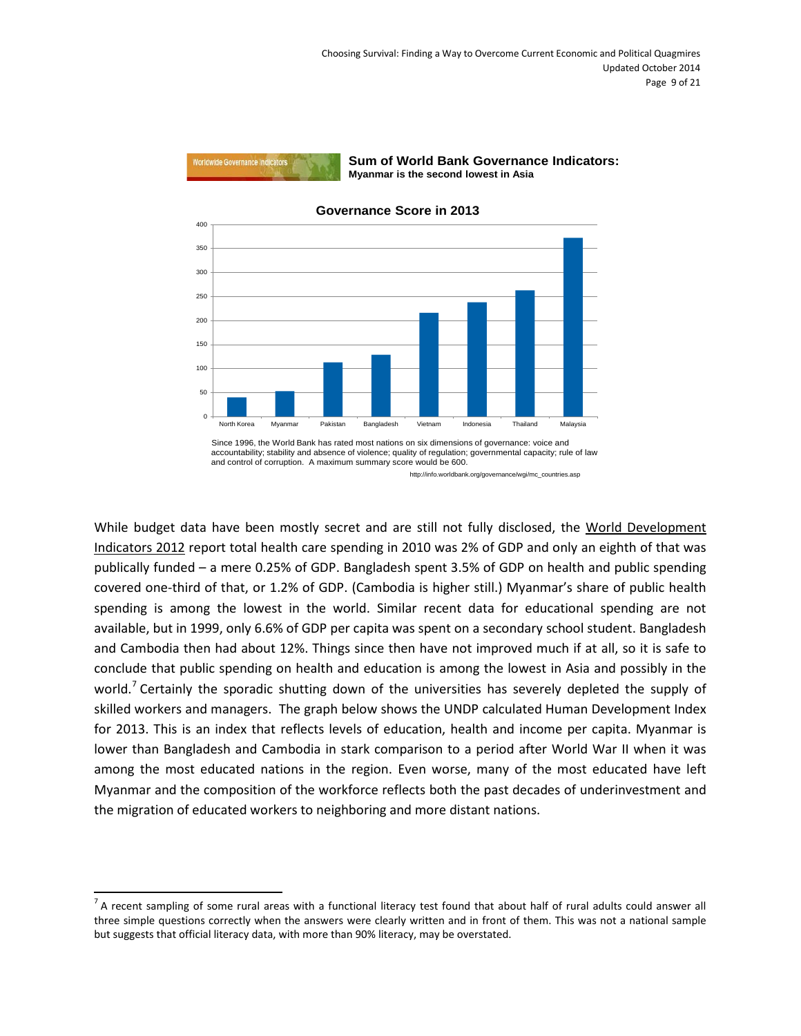

**Sum of World Bank Governance Indicators: Myanmar is the second lowest in Asia**



**Governance Score in 2013**

Since 1996, the World Bank has rated most nations on six dimensions of governance: voice and accountability; stability and absence of violence; quality of regulation; governmental capacity; rule of law and control of corruption. A maximum summary score would be 600.

http://info.worldbank.org/governance/wgi/mc\_countries.asp

While budget data have been mostly secret and are still not fully disclosed, the World Development Indicators 2012 report total health care spending in 2010 was 2% of GDP and only an eighth of that was publically funded – a mere 0.25% of GDP. Bangladesh spent 3.5% of GDP on health and public spending covered one-third of that, or 1.2% of GDP. (Cambodia is higher still.) Myanmar's share of public health spending is among the lowest in the world. Similar recent data for educational spending are not available, but in 1999, only 6.6% of GDP per capita was spent on a secondary school student. Bangladesh and Cambodia then had about 12%. Things since then have not improved much if at all, so it is safe to conclude that public spending on health and education is among the lowest in Asia and possibly in the world.<sup>[7](#page-8-0)</sup> Certainly the sporadic shutting down of the universities has severely depleted the supply of skilled workers and managers. The graph below shows the UNDP calculated Human Development Index for 2013. This is an index that reflects levels of education, health and income per capita. Myanmar is lower than Bangladesh and Cambodia in stark comparison to a period after World War II when it was among the most educated nations in the region. Even worse, many of the most educated have left Myanmar and the composition of the workforce reflects both the past decades of underinvestment and the migration of educated workers to neighboring and more distant nations.

<span id="page-8-0"></span> $<sup>7</sup>$  A recent sampling of some rural areas with a functional literacy test found that about half of rural adults could answer all</sup> three simple questions correctly when the answers were clearly written and in front of them. This was not a national sample but suggests that official literacy data, with more than 90% literacy, may be overstated.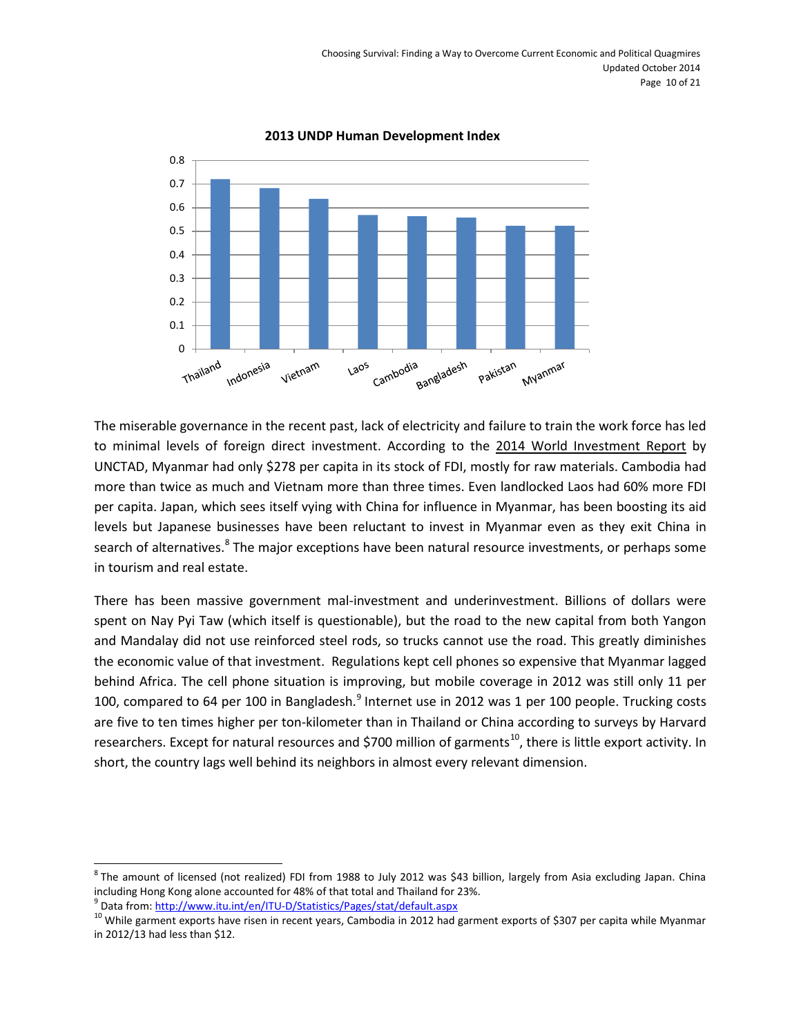

#### **2013 UNDP Human Development Index**

The miserable governance in the recent past, lack of electricity and failure to train the work force has led to minimal levels of foreign direct investment. According to the 2014 World Investment Report by UNCTAD, Myanmar had only \$278 per capita in its stock of FDI, mostly for raw materials. Cambodia had more than twice as much and Vietnam more than three times. Even landlocked Laos had 60% more FDI per capita. Japan, which sees itself vying with China for influence in Myanmar, has been boosting its aid levels but Japanese businesses have been reluctant to invest in Myanmar even as they exit China in search of alternatives.<sup>[8](#page-9-0)</sup> The major exceptions have been natural resource investments, or perhaps some in tourism and real estate.

There has been massive government mal-investment and underinvestment. Billions of dollars were spent on Nay Pyi Taw (which itself is questionable), but the road to the new capital from both Yangon and Mandalay did not use reinforced steel rods, so trucks cannot use the road. This greatly diminishes the economic value of that investment. Regulations kept cell phones so expensive that Myanmar lagged behind Africa. The cell phone situation is improving, but mobile coverage in 2012 was still only 11 per 100, compared to 64 per 100 in Bangladesh.<sup>[9](#page-9-1)</sup> Internet use in 2012 was 1 per 100 people. Trucking costs are five to ten times higher per ton-kilometer than in Thailand or China according to surveys by Harvard researchers. Except for natural resources and \$700 million of garments<sup>[10](#page-9-2)</sup>, there is little export activity. In short, the country lags well behind its neighbors in almost every relevant dimension.

<span id="page-9-0"></span><sup>&</sup>lt;sup>8</sup> The amount of licensed (not realized) FDI from 1988 to July 2012 was \$43 billion, largely from Asia excluding Japan. China including Hong Kong alone accounted for 48% of that total and Thailand for 23%.<br><sup>9</sup> Data from: http://www.itu.int/en/ITU-D/Statistics/Pages/stat/default.aspx

<span id="page-9-2"></span><span id="page-9-1"></span><sup>&</sup>lt;sup>10</sup> While garment exports have risen in recent years, Cambodia in 2012 had garment exports of \$307 per capita while Myanmar in 2012/13 had less than \$12.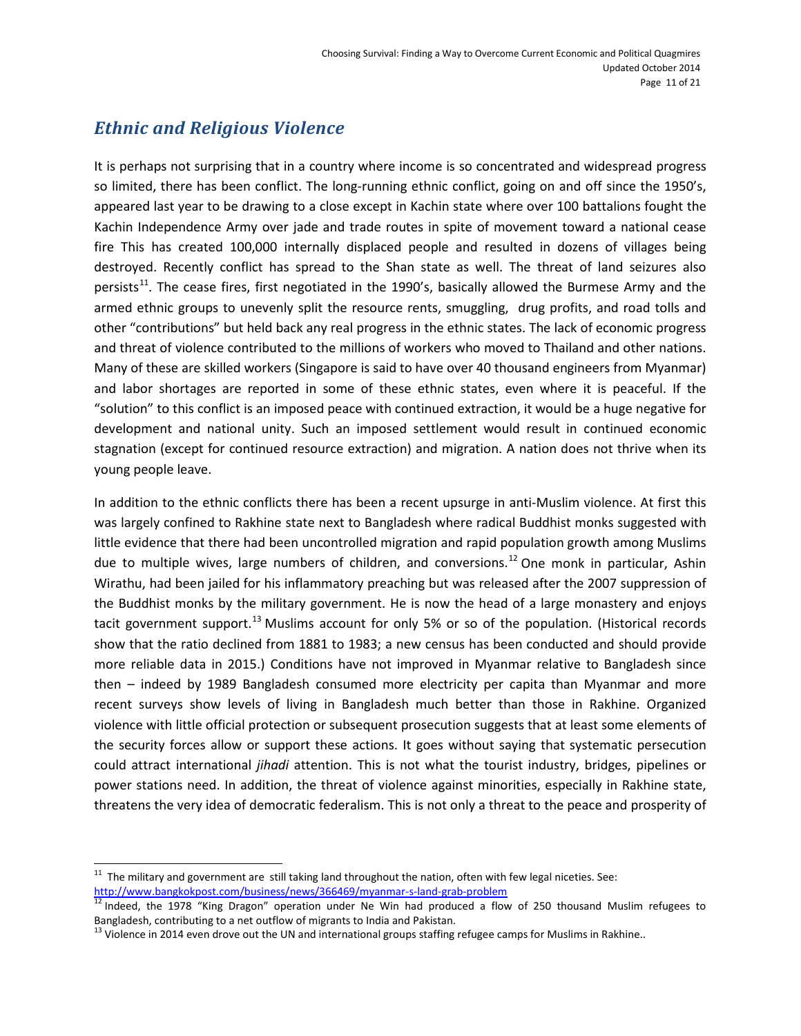### <span id="page-10-0"></span>*Ethnic and Religious Violence*

It is perhaps not surprising that in a country where income is so concentrated and widespread progress so limited, there has been conflict. The long-running ethnic conflict, going on and off since the 1950's, appeared last year to be drawing to a close except in Kachin state where over 100 battalions fought the Kachin Independence Army over jade and trade routes in spite of movement toward a national cease fire This has created 100,000 internally displaced people and resulted in dozens of villages being destroyed. Recently conflict has spread to the Shan state as well. The threat of land seizures also persists<sup>11</sup>. The cease fires, first negotiated in the 1990's, basically allowed the Burmese Army and the armed ethnic groups to unevenly split the resource rents, smuggling, drug profits, and road tolls and other "contributions" but held back any real progress in the ethnic states. The lack of economic progress and threat of violence contributed to the millions of workers who moved to Thailand and other nations. Many of these are skilled workers (Singapore is said to have over 40 thousand engineers from Myanmar) and labor shortages are reported in some of these ethnic states, even where it is peaceful. If the "solution" to this conflict is an imposed peace with continued extraction, it would be a huge negative for development and national unity. Such an imposed settlement would result in continued economic stagnation (except for continued resource extraction) and migration. A nation does not thrive when its young people leave.

In addition to the ethnic conflicts there has been a recent upsurge in anti-Muslim violence. At first this was largely confined to Rakhine state next to Bangladesh where radical Buddhist monks suggested with little evidence that there had been uncontrolled migration and rapid population growth among Muslims due to multiple wives, large numbers of children, and conversions.<sup>[12](#page-10-2)</sup> One monk in particular, Ashin Wirathu, had been jailed for his inflammatory preaching but was released after the 2007 suppression of the Buddhist monks by the military government. He is now the head of a large monastery and enjoys tacit government support.<sup>[13](#page-10-3)</sup> Muslims account for only 5% or so of the population. (Historical records show that the ratio declined from 1881 to 1983; a new census has been conducted and should provide more reliable data in 2015.) Conditions have not improved in Myanmar relative to Bangladesh since then – indeed by 1989 Bangladesh consumed more electricity per capita than Myanmar and more recent surveys show levels of living in Bangladesh much better than those in Rakhine. Organized violence with little official protection or subsequent prosecution suggests that at least some elements of the security forces allow or support these actions. It goes without saying that systematic persecution could attract international *jihadi* attention. This is not what the tourist industry, bridges, pipelines or power stations need. In addition, the threat of violence against minorities, especially in Rakhine state, threatens the very idea of democratic federalism. This is not only a threat to the peace and prosperity of

<span id="page-10-1"></span> $11$  The military and government are still taking land throughout the nation, often with few legal niceties. See: <http://www.bangkokpost.com/business/news/366469/myanmar-s-land-grab-problem><br><sup>12</sup> Indeed, the 1978 "King Dragon" operation under Ne Win had produced a flow of 250 thousand Muslim refugees to

<span id="page-10-2"></span>Bangladesh, contributing to a net outflow of migrants to India and Pakistan.

<span id="page-10-3"></span> $13$  Violence in 2014 even drove out the UN and international groups staffing refugee camps for Muslims in Rakhine..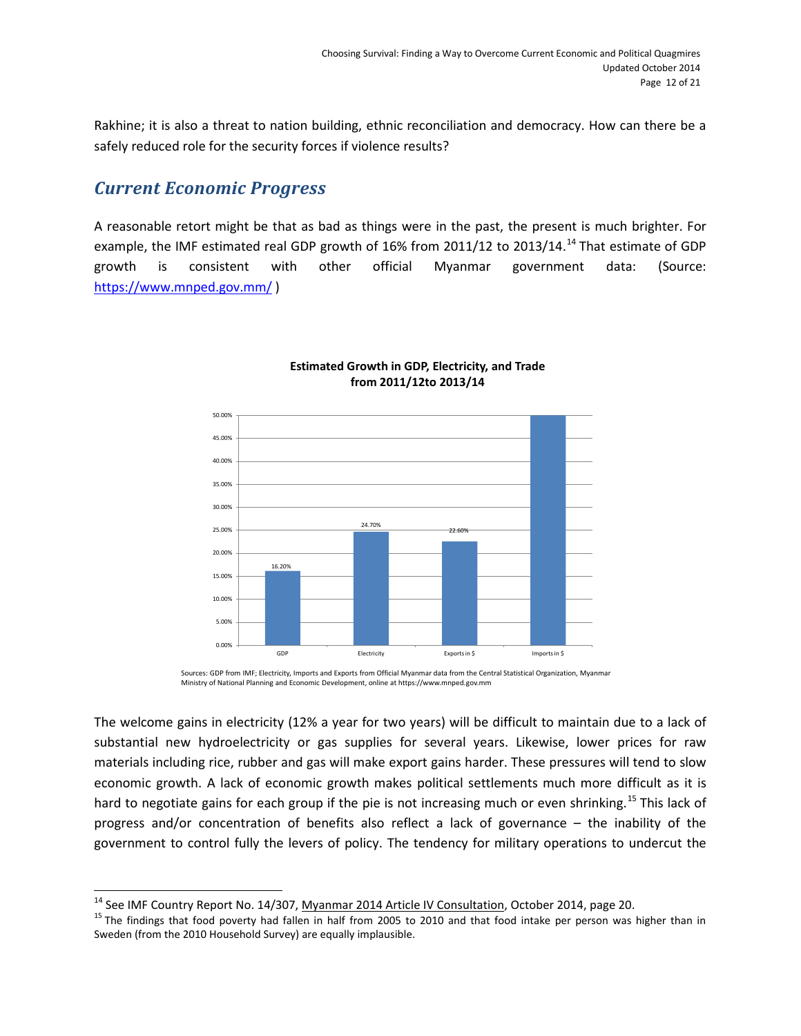Rakhine; it is also a threat to nation building, ethnic reconciliation and democracy. How can there be a safely reduced role for the security forces if violence results?

### <span id="page-11-0"></span>*Current Economic Progress*

 $\overline{a}$ 

A reasonable retort might be that as bad as things were in the past, the present is much brighter. For example, the IMF estimated real GDP growth of 16% from 2011/12 to 2013/[14](#page-11-1).<sup>14</sup> That estimate of GDP growth is consistent with other official Myanmar government data: (Source: <https://www.mnped.gov.mm/> )



#### **Estimated Growth in GDP, Electricity, and Trade from 2011/12to 2013/14**

Sources: GDP from IMF; Electricity, Imports and Exports from Official Myanmar data from the Central Statistical Organization, Myanmar Ministry of National Planning and Economic Development, online at https://www.mnped.gov.mm

The welcome gains in electricity (12% a year for two years) will be difficult to maintain due to a lack of substantial new hydroelectricity or gas supplies for several years. Likewise, lower prices for raw materials including rice, rubber and gas will make export gains harder. These pressures will tend to slow economic growth. A lack of economic growth makes political settlements much more difficult as it is hard to negotiate gains for each group if the pie is not increasing much or even shrinking.<sup>[15](#page-11-2)</sup> This lack of progress and/or concentration of benefits also reflect a lack of governance – the inability of the government to control fully the levers of policy. The tendency for military operations to undercut the

<span id="page-11-2"></span><span id="page-11-1"></span><sup>&</sup>lt;sup>14</sup> See IMF Country Report No. 14/307, <u>Myanmar 2014 Article IV Consultation</u>, October 2014, page 20.<br><sup>15</sup> The findings that food poverty had fallen in half from 2005 to 2010 and that food intake per person was higher th Sweden (from the 2010 Household Survey) are equally implausible.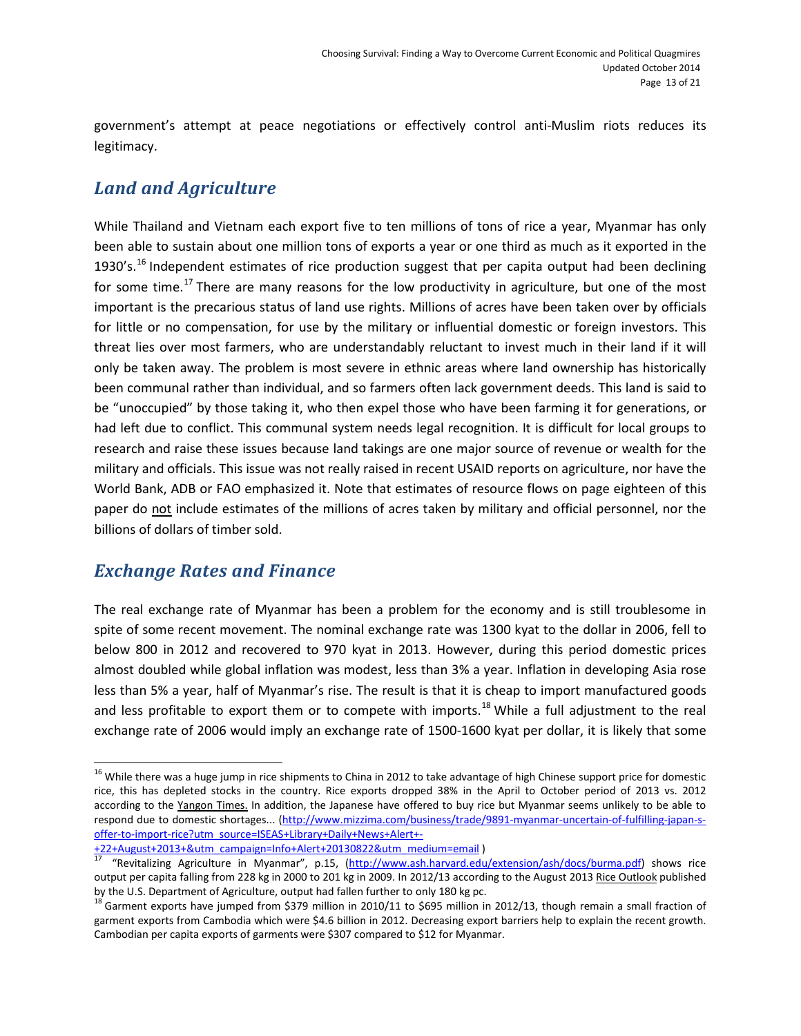government's attempt at peace negotiations or effectively control anti-Muslim riots reduces its legitimacy.

### <span id="page-12-0"></span>*Land and Agriculture*

While Thailand and Vietnam each export five to ten millions of tons of rice a year, Myanmar has only been able to sustain about one million tons of exports a year or one third as much as it exported in the 1930's.<sup>[16](#page-12-2)</sup> Independent estimates of rice production suggest that per capita output had been declining for some time.<sup>[17](#page-12-3)</sup> There are many reasons for the low productivity in agriculture, but one of the most important is the precarious status of land use rights. Millions of acres have been taken over by officials for little or no compensation, for use by the military or influential domestic or foreign investors. This threat lies over most farmers, who are understandably reluctant to invest much in their land if it will only be taken away. The problem is most severe in ethnic areas where land ownership has historically been communal rather than individual, and so farmers often lack government deeds. This land is said to be "unoccupied" by those taking it, who then expel those who have been farming it for generations, or had left due to conflict. This communal system needs legal recognition. It is difficult for local groups to research and raise these issues because land takings are one major source of revenue or wealth for the military and officials. This issue was not really raised in recent USAID reports on agriculture, nor have the World Bank, ADB or FAO emphasized it. Note that estimates of resource flows on page eighteen of this paper do not include estimates of the millions of acres taken by military and official personnel, nor the billions of dollars of timber sold.

### <span id="page-12-1"></span>*Exchange Rates and Finance*

 $\overline{a}$ 

The real exchange rate of Myanmar has been a problem for the economy and is still troublesome in spite of some recent movement. The nominal exchange rate was 1300 kyat to the dollar in 2006, fell to below 800 in 2012 and recovered to 970 kyat in 2013. However, during this period domestic prices almost doubled while global inflation was modest, less than 3% a year. Inflation in developing Asia rose less than 5% a year, half of Myanmar's rise. The result is that it is cheap to import manufactured goods and less profitable to export them or to compete with imports.<sup>[18](#page-12-4)</sup> While a full adjustment to the real exchange rate of 2006 would imply an exchange rate of 1500-1600 kyat per dollar, it is likely that some

<span id="page-12-2"></span><sup>&</sup>lt;sup>16</sup> While there was a huge jump in rice shipments to China in 2012 to take advantage of high Chinese support price for domestic rice, this has depleted stocks in the country. Rice exports dropped 38% in the April to October period of 2013 vs. 2012 according to the Yangon Times. In addition, the Japanese have offered to buy rice but Myanmar seems unlikely to be able to respond due to domestic shortages... [\(http://www.mizzima.com/business/trade/9891-myanmar-uncertain-of-fulfilling-japan-s](http://www.mizzima.com/business/trade/9891-myanmar-uncertain-of-fulfilling-japan-s-offer-to-import-rice?utm_source=ISEAS+Library+Daily+News+Alert+-+22+August+2013+&utm_campaign=Info+Alert+20130822&utm_medium=email)[offer-to-import-rice?utm\\_source=ISEAS+Library+Daily+News+Alert+-](http://www.mizzima.com/business/trade/9891-myanmar-uncertain-of-fulfilling-japan-s-offer-to-import-rice?utm_source=ISEAS+Library+Daily+News+Alert+-+22+August+2013+&utm_campaign=Info+Alert+20130822&utm_medium=email)<br>+22+August+2013+&utm\_campaign=Info+Alert+20130822&utm\_medium=email)

<span id="page-12-3"></span><sup>&</sup>quot;Revitalizing Agriculture in Myanmar", p.15, (http://www.ash.harvard.edu/extension/ash/docs/burma.pdf[\)](http://www.mizzima.com/business/trade/9891-myanmar-uncertain-of-fulfilling-japan-s-offer-to-import-rice?utm_source=ISEAS+Library+Daily+News+Alert+-+22+August+2013+&utm_campaign=Info+Alert+20130822&utm_medium=email) shows rice output per capita falling from 228 kg in 2000 to 201 kg in 2009. In 2012/13 according to the August 2013 Rice Outlook published by the U.S. Department of Agriculture, output had fallen further to only 180 kg pc.

<span id="page-12-4"></span> $18$  Garment exports have jumped from \$379 million in 2010/11 to \$695 million in 2012/13, though remain a small fraction of garment exports from Cambodia which were \$4.6 billion in 2012. Decreasing export barriers help to explain the recent growth. Cambodian per capita exports of garments were \$307 compared to \$12 for Myanmar.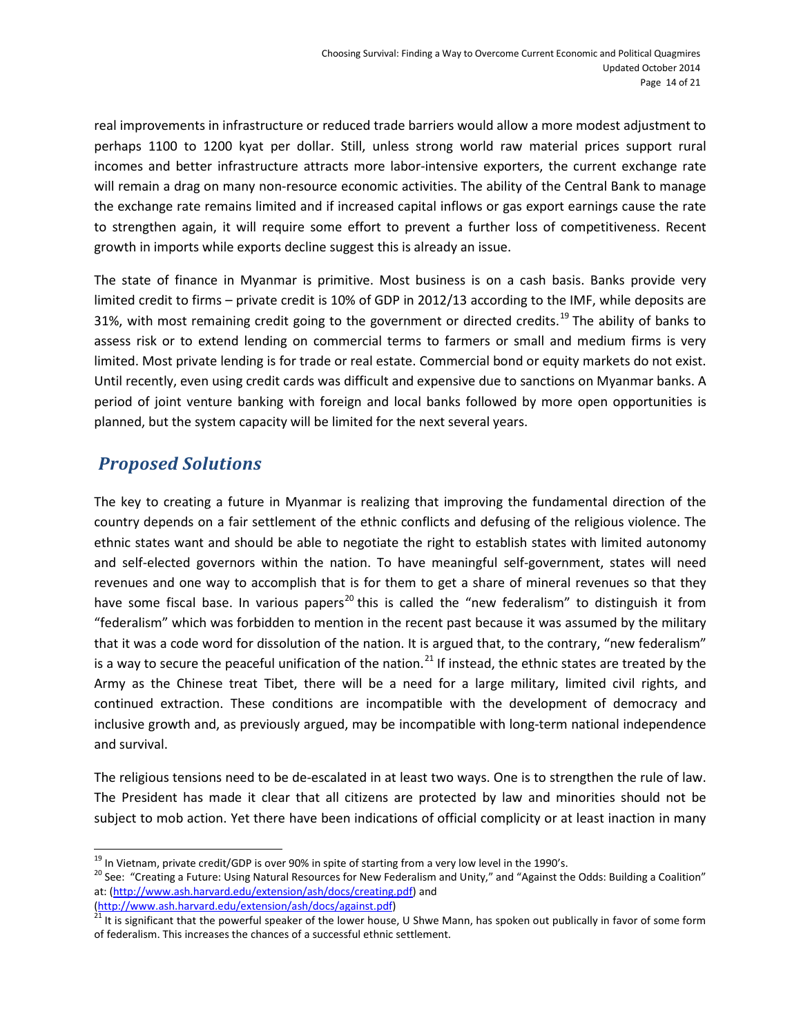real improvements in infrastructure or reduced trade barriers would allow a more modest adjustment to perhaps 1100 to 1200 kyat per dollar. Still, unless strong world raw material prices support rural incomes and better infrastructure attracts more labor-intensive exporters, the current exchange rate will remain a drag on many non-resource economic activities. The ability of the Central Bank to manage the exchange rate remains limited and if increased capital inflows or gas export earnings cause the rate to strengthen again, it will require some effort to prevent a further loss of competitiveness. Recent growth in imports while exports decline suggest this is already an issue.

The state of finance in Myanmar is primitive. Most business is on a cash basis. Banks provide very limited credit to firms – private credit is 10% of GDP in 2012/13 according to the IMF, while deposits are 31%, with most remaining credit going to the government or directed credits.<sup>[19](#page-13-1)</sup> The ability of banks to assess risk or to extend lending on commercial terms to farmers or small and medium firms is very limited. Most private lending is for trade or real estate. Commercial bond or equity markets do not exist. Until recently, even using credit cards was difficult and expensive due to sanctions on Myanmar banks. A period of joint venture banking with foreign and local banks followed by more open opportunities is planned, but the system capacity will be limited for the next several years.

### <span id="page-13-0"></span>*Proposed Solutions*

The key to creating a future in Myanmar is realizing that improving the fundamental direction of the country depends on a fair settlement of the ethnic conflicts and defusing of the religious violence. The ethnic states want and should be able to negotiate the right to establish states with limited autonomy and self-elected governors within the nation. To have meaningful self-government, states will need revenues and one way to accomplish that is for them to get a share of mineral revenues so that they have some fiscal base. In various papers<sup>[20](#page-13-2)</sup> this is called the "new federalism" to distinguish it from "federalism" which was forbidden to mention in the recent past because it was assumed by the military that it was a code word for dissolution of the nation. It is argued that, to the contrary, "new federalism" is a way to secure the peaceful unification of the nation.<sup>[21](#page-13-3)</sup> If instead, the ethnic states are treated by the Army as the Chinese treat Tibet, there will be a need for a large military, limited civil rights, and continued extraction. These conditions are incompatible with the development of democracy and inclusive growth and, as previously argued, may be incompatible with long-term national independence and survival.

The religious tensions need to be de-escalated in at least two ways. One is to strengthen the rule of law. The President has made it clear that all citizens are protected by law and minorities should not be subject to mob action. Yet there have been indications of official complicity or at least inaction in many

 $\overline{a}$ 

<span id="page-13-2"></span><span id="page-13-1"></span><sup>&</sup>lt;sup>19</sup> In Vietnam, private credit/GDP is over 90% in spite of starting from a very low level in the 1990's.<br><sup>20</sup> See: "Creating a Future: Using Natural Resources for New Federalism and Unity," and "Against the Odds: Buildin at: [\(http://www.ash.harvard.edu/extension/ash/docs/creating.pdf\)](http://www.ash.harvard.edu/extension/ash/docs/creating.pdf) and

<span id="page-13-3"></span>[<sup>\(</sup>http://www.ash.harvard.edu/extension/ash/docs/against.pdf\)](http://www.ash.harvard.edu/extension/ash/docs/against.pdf)<br><sup>21</sup> It is significant that the powerful speaker of the lower house, U Shwe Mann, has spoken out publically in favor of some form of federalism. This increases the chances of a successful ethnic settlement.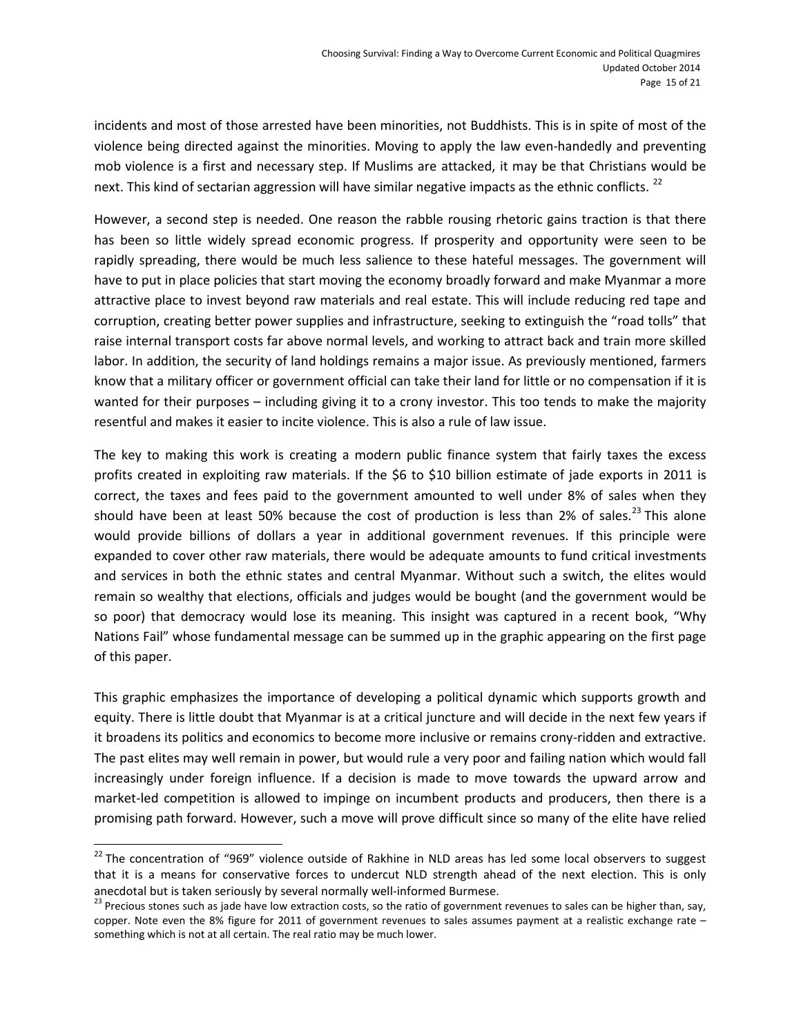incidents and most of those arrested have been minorities, not Buddhists. This is in spite of most of the violence being directed against the minorities. Moving to apply the law even-handedly and preventing mob violence is a first and necessary step. If Muslims are attacked, it may be that Christians would be next. This kind of sectarian aggression will have similar negative impacts as the ethnic conflicts.<sup>[22](#page-14-0)</sup>

However, a second step is needed. One reason the rabble rousing rhetoric gains traction is that there has been so little widely spread economic progress. If prosperity and opportunity were seen to be rapidly spreading, there would be much less salience to these hateful messages. The government will have to put in place policies that start moving the economy broadly forward and make Myanmar a more attractive place to invest beyond raw materials and real estate. This will include reducing red tape and corruption, creating better power supplies and infrastructure, seeking to extinguish the "road tolls" that raise internal transport costs far above normal levels, and working to attract back and train more skilled labor. In addition, the security of land holdings remains a major issue. As previously mentioned, farmers know that a military officer or government official can take their land for little or no compensation if it is wanted for their purposes – including giving it to a crony investor. This too tends to make the majority resentful and makes it easier to incite violence. This is also a rule of law issue.

The key to making this work is creating a modern public finance system that fairly taxes the excess profits created in exploiting raw materials. If the \$6 to \$10 billion estimate of jade exports in 2011 is correct, the taxes and fees paid to the government amounted to well under 8% of sales when they should have been at least 50% because the cost of production is less than 2% of sales.<sup>[23](#page-14-1)</sup> This alone would provide billions of dollars a year in additional government revenues. If this principle were expanded to cover other raw materials, there would be adequate amounts to fund critical investments and services in both the ethnic states and central Myanmar. Without such a switch, the elites would remain so wealthy that elections, officials and judges would be bought (and the government would be so poor) that democracy would lose its meaning. This insight was captured in a recent book, "Why Nations Fail" whose fundamental message can be summed up in the graphic appearing on the first page of this paper.

This graphic emphasizes the importance of developing a political dynamic which supports growth and equity. There is little doubt that Myanmar is at a critical juncture and will decide in the next few years if it broadens its politics and economics to become more inclusive or remains crony-ridden and extractive. The past elites may well remain in power, but would rule a very poor and failing nation which would fall increasingly under foreign influence. If a decision is made to move towards the upward arrow and market-led competition is allowed to impinge on incumbent products and producers, then there is a promising path forward. However, such a move will prove difficult since so many of the elite have relied

<span id="page-14-0"></span><sup>&</sup>lt;sup>22</sup> The concentration of "969" violence outside of Rakhine in NLD areas has led some local observers to suggest that it is a means for conservative forces to undercut NLD strength ahead of the next election. This is only anecdotal but is taken seriously by several normally well-informed Burmese.<br><sup>23</sup> Precious stones such as jade have low extraction costs, so the ratio of government revenues to sales can be higher than, say,

<span id="page-14-1"></span>copper. Note even the 8% figure for 2011 of government revenues to sales assumes payment at a realistic exchange rate – something which is not at all certain. The real ratio may be much lower.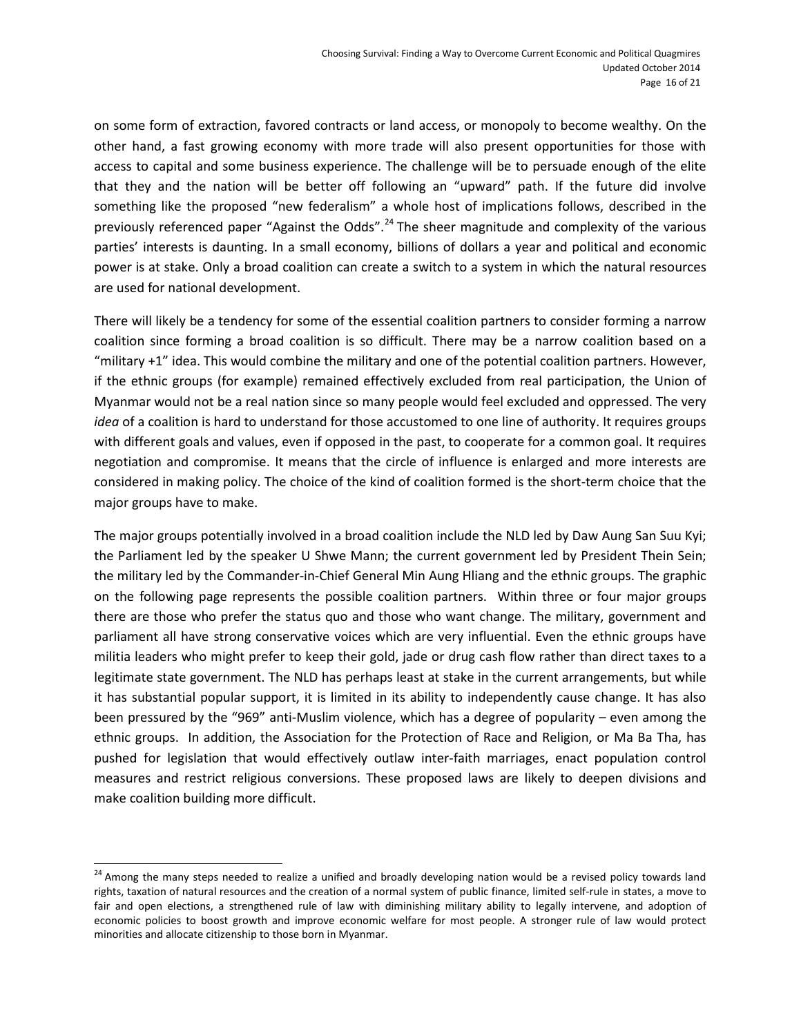on some form of extraction, favored contracts or land access, or monopoly to become wealthy. On the other hand, a fast growing economy with more trade will also present opportunities for those with access to capital and some business experience. The challenge will be to persuade enough of the elite that they and the nation will be better off following an "upward" path. If the future did involve something like the proposed "new federalism" a whole host of implications follows, described in the previously referenced paper "Against the Odds".<sup>[24](#page-15-0)</sup> The sheer magnitude and complexity of the various parties' interests is daunting. In a small economy, billions of dollars a year and political and economic power is at stake. Only a broad coalition can create a switch to a system in which the natural resources are used for national development.

There will likely be a tendency for some of the essential coalition partners to consider forming a narrow coalition since forming a broad coalition is so difficult. There may be a narrow coalition based on a "military +1" idea. This would combine the military and one of the potential coalition partners. However, if the ethnic groups (for example) remained effectively excluded from real participation, the Union of Myanmar would not be a real nation since so many people would feel excluded and oppressed. The very *idea* of a coalition is hard to understand for those accustomed to one line of authority. It requires groups with different goals and values, even if opposed in the past, to cooperate for a common goal. It requires negotiation and compromise. It means that the circle of influence is enlarged and more interests are considered in making policy. The choice of the kind of coalition formed is the short-term choice that the major groups have to make.

The major groups potentially involved in a broad coalition include the NLD led by Daw Aung San Suu Kyi; the Parliament led by the speaker U Shwe Mann; the current government led by President Thein Sein; the military led by the Commander-in-Chief General Min Aung Hliang and the ethnic groups. The graphic on the following page represents the possible coalition partners. Within three or four major groups there are those who prefer the status quo and those who want change. The military, government and parliament all have strong conservative voices which are very influential. Even the ethnic groups have militia leaders who might prefer to keep their gold, jade or drug cash flow rather than direct taxes to a legitimate state government. The NLD has perhaps least at stake in the current arrangements, but while it has substantial popular support, it is limited in its ability to independently cause change. It has also been pressured by the "969" anti-Muslim violence, which has a degree of popularity – even among the ethnic groups. In addition, the Association for the Protection of Race and Religion, or Ma Ba Tha, has pushed for legislation that would effectively outlaw inter-faith marriages, enact population control measures and restrict religious conversions. These proposed laws are likely to deepen divisions and make coalition building more difficult.

<span id="page-15-0"></span><sup>&</sup>lt;sup>24</sup> Among the many steps needed to realize a unified and broadly developing nation would be a revised policy towards land rights, taxation of natural resources and the creation of a normal system of public finance, limited self-rule in states, a move to fair and open elections, a strengthened rule of law with diminishing military ability to legally intervene, and adoption of economic policies to boost growth and improve economic welfare for most people. A stronger rule of law would protect minorities and allocate citizenship to those born in Myanmar.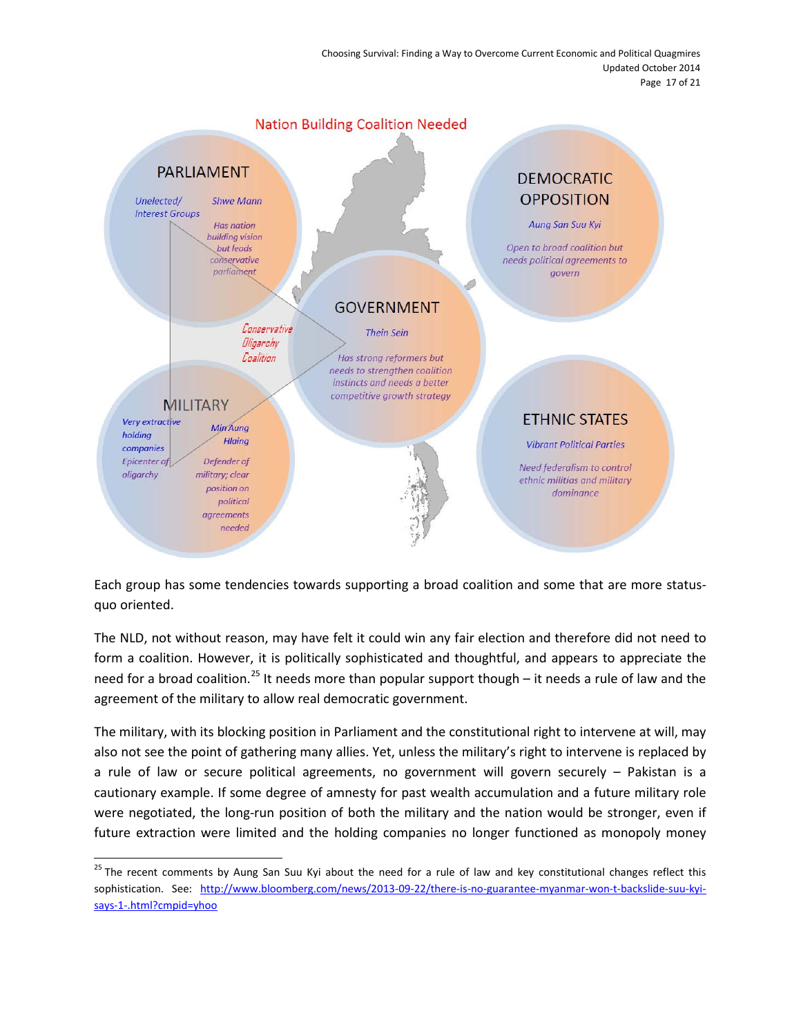Choosing Survival: Finding a Way to Overcome Current Economic and Political Quagmires Updated October 2014 Page 17 of 21



Each group has some tendencies towards supporting a broad coalition and some that are more statusquo oriented.

The NLD, not without reason, may have felt it could win any fair election and therefore did not need to form a coalition. However, it is politically sophisticated and thoughtful, and appears to appreciate the need for a broad coalition.<sup>[25](#page-16-0)</sup> It needs more than popular support though – it needs a rule of law and the agreement of the military to allow real democratic government.

The military, with its blocking position in Parliament and the constitutional right to intervene at will, may also not see the point of gathering many allies. Yet, unless the military's right to intervene is replaced by a rule of law or secure political agreements, no government will govern securely – Pakistan is a cautionary example. If some degree of amnesty for past wealth accumulation and a future military role were negotiated, the long-run position of both the military and the nation would be stronger, even if future extraction were limited and the holding companies no longer functioned as monopoly money

<span id="page-16-0"></span><sup>&</sup>lt;sup>25</sup> The recent comments by Aung San Suu Kyi about the need for a rule of law and key constitutional changes reflect this sophistication. See: [http://www.bloomberg.com/news/2013-09-22/there-is-no-guarantee-myanmar-won-t-backslide-suu-kyi](http://www.bloomberg.com/news/2013-09-22/there-is-no-guarantee-myanmar-won-t-backslide-suu-kyi-says-1-.html?cmpid=yhoo)[says-1-.html?cmpid=yhoo](http://www.bloomberg.com/news/2013-09-22/there-is-no-guarantee-myanmar-won-t-backslide-suu-kyi-says-1-.html?cmpid=yhoo)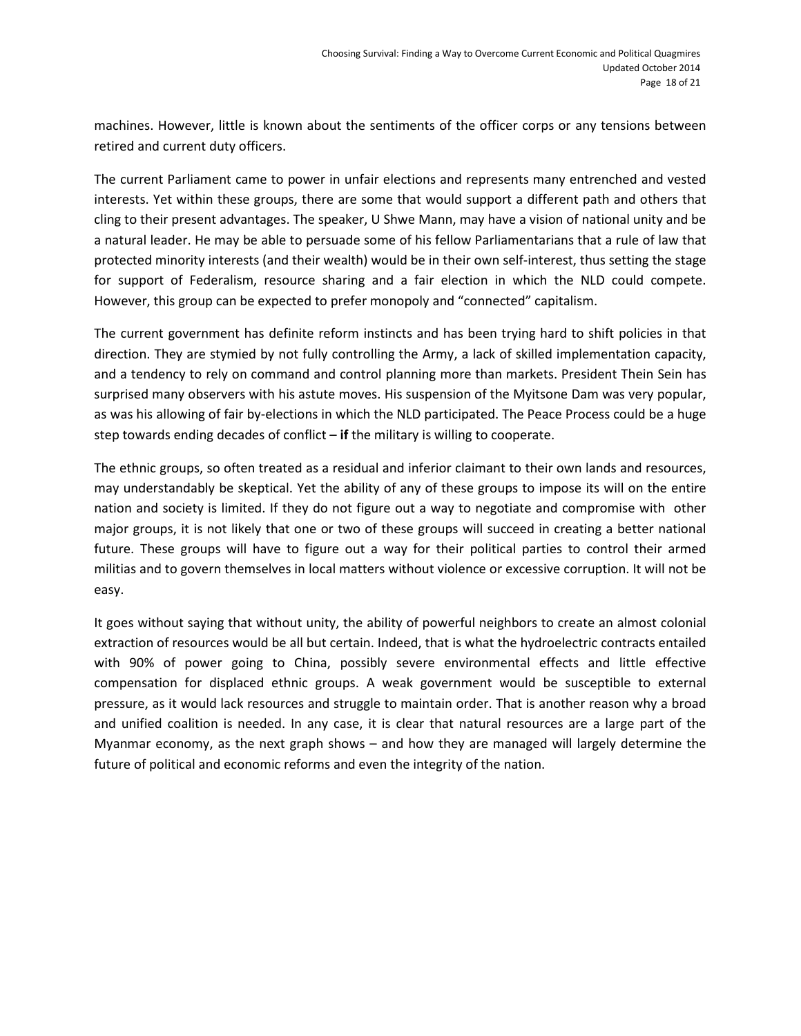machines. However, little is known about the sentiments of the officer corps or any tensions between retired and current duty officers.

The current Parliament came to power in unfair elections and represents many entrenched and vested interests. Yet within these groups, there are some that would support a different path and others that cling to their present advantages. The speaker, U Shwe Mann, may have a vision of national unity and be a natural leader. He may be able to persuade some of his fellow Parliamentarians that a rule of law that protected minority interests (and their wealth) would be in their own self-interest, thus setting the stage for support of Federalism, resource sharing and a fair election in which the NLD could compete. However, this group can be expected to prefer monopoly and "connected" capitalism.

The current government has definite reform instincts and has been trying hard to shift policies in that direction. They are stymied by not fully controlling the Army, a lack of skilled implementation capacity, and a tendency to rely on command and control planning more than markets. President Thein Sein has surprised many observers with his astute moves. His suspension of the Myitsone Dam was very popular, as was his allowing of fair by-elections in which the NLD participated. The Peace Process could be a huge step towards ending decades of conflict – **if** the military is willing to cooperate.

The ethnic groups, so often treated as a residual and inferior claimant to their own lands and resources, may understandably be skeptical. Yet the ability of any of these groups to impose its will on the entire nation and society is limited. If they do not figure out a way to negotiate and compromise with other major groups, it is not likely that one or two of these groups will succeed in creating a better national future. These groups will have to figure out a way for their political parties to control their armed militias and to govern themselves in local matters without violence or excessive corruption. It will not be easy.

It goes without saying that without unity, the ability of powerful neighbors to create an almost colonial extraction of resources would be all but certain. Indeed, that is what the hydroelectric contracts entailed with 90% of power going to China, possibly severe environmental effects and little effective compensation for displaced ethnic groups. A weak government would be susceptible to external pressure, as it would lack resources and struggle to maintain order. That is another reason why a broad and unified coalition is needed. In any case, it is clear that natural resources are a large part of the Myanmar economy, as the next graph shows – and how they are managed will largely determine the future of political and economic reforms and even the integrity of the nation.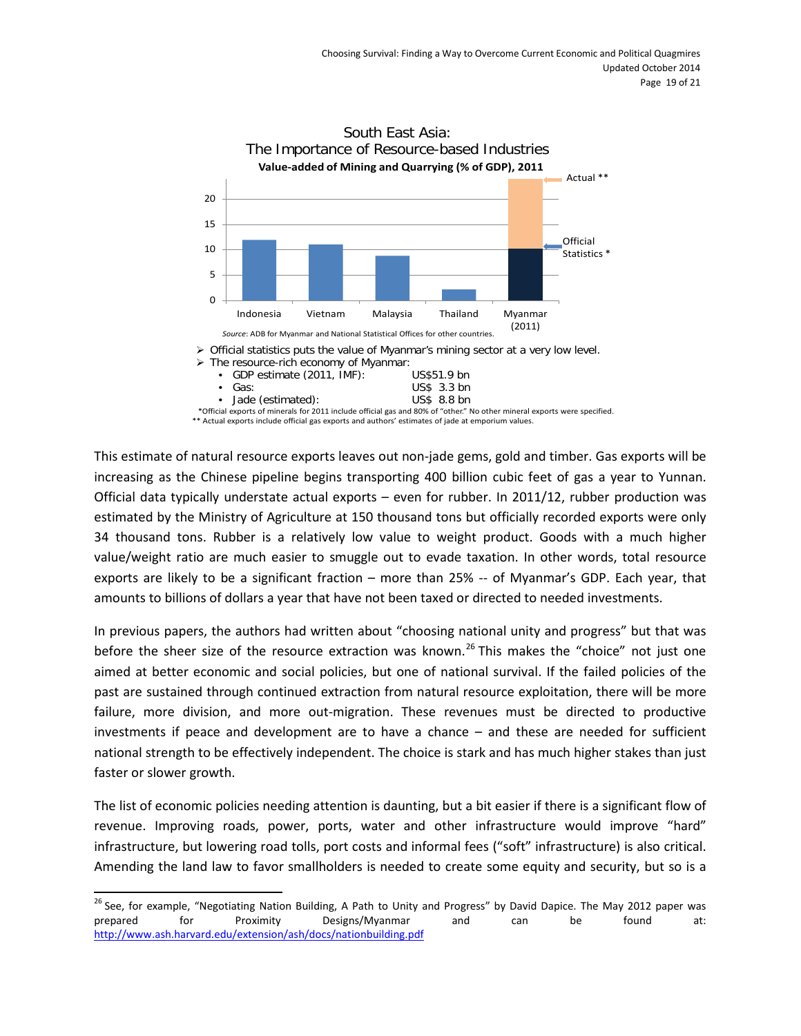

This estimate of natural resource exports leaves out non-jade gems, gold and timber. Gas exports will be increasing as the Chinese pipeline begins transporting 400 billion cubic feet of gas a year to Yunnan. Official data typically understate actual exports – even for rubber. In 2011/12, rubber production was estimated by the Ministry of Agriculture at 150 thousand tons but officially recorded exports were only 34 thousand tons. Rubber is a relatively low value to weight product. Goods with a much higher value/weight ratio are much easier to smuggle out to evade taxation. In other words, total resource exports are likely to be a significant fraction – more than 25% -- of Myanmar's GDP. Each year, that amounts to billions of dollars a year that have not been taxed or directed to needed investments.

In previous papers, the authors had written about "choosing national unity and progress" but that was before the sheer size of the resource extraction was known.<sup>[26](#page-18-0)</sup> This makes the "choice" not just one aimed at better economic and social policies, but one of national survival. If the failed policies of the past are sustained through continued extraction from natural resource exploitation, there will be more failure, more division, and more out-migration. These revenues must be directed to productive investments if peace and development are to have a chance – and these are needed for sufficient national strength to be effectively independent. The choice is stark and has much higher stakes than just faster or slower growth.

The list of economic policies needing attention is daunting, but a bit easier if there is a significant flow of revenue. Improving roads, power, ports, water and other infrastructure would improve "hard" infrastructure, but lowering road tolls, port costs and informal fees ("soft" infrastructure) is also critical. Amending the land law to favor smallholders is needed to create some equity and security, but so is a

<span id="page-18-0"></span><sup>&</sup>lt;sup>26</sup> See, for example, "Negotiating Nation Building, A Path to Unity and Progress" by David Dapice. The May 2012 paper was prepared for Proximity Designs/Myanmar and can be found at: <http://www.ash.harvard.edu/extension/ash/docs/nationbuilding.pdf>  $\overline{a}$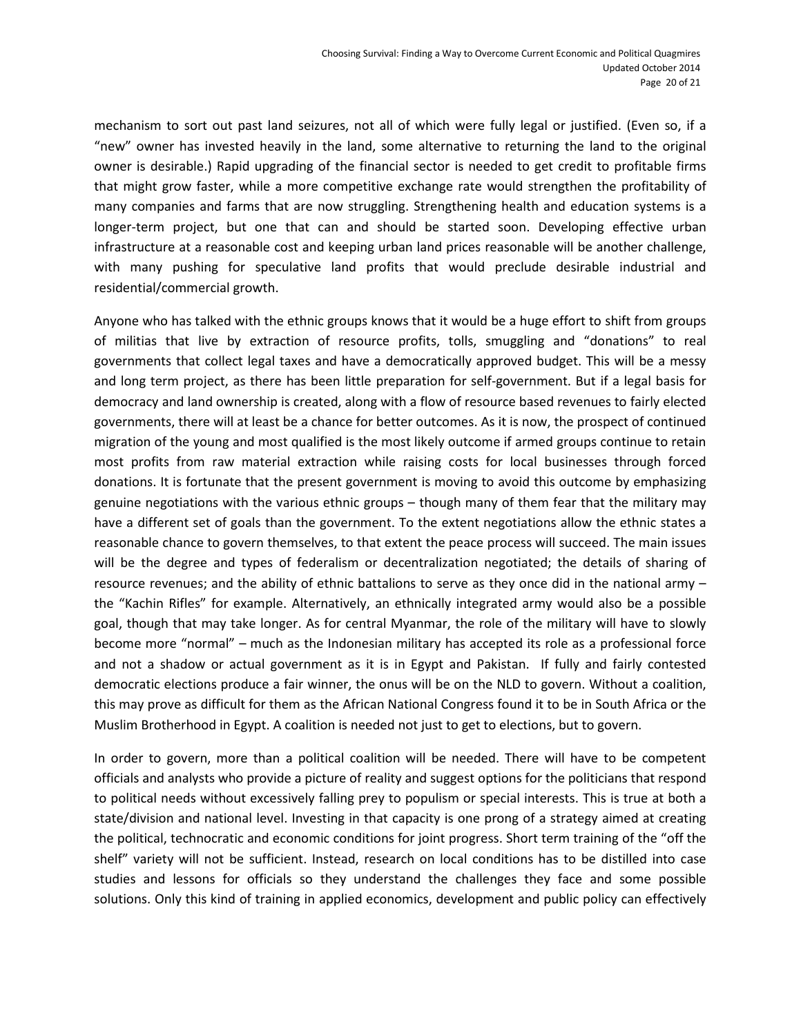mechanism to sort out past land seizures, not all of which were fully legal or justified. (Even so, if a "new" owner has invested heavily in the land, some alternative to returning the land to the original owner is desirable.) Rapid upgrading of the financial sector is needed to get credit to profitable firms that might grow faster, while a more competitive exchange rate would strengthen the profitability of many companies and farms that are now struggling. Strengthening health and education systems is a longer-term project, but one that can and should be started soon. Developing effective urban infrastructure at a reasonable cost and keeping urban land prices reasonable will be another challenge, with many pushing for speculative land profits that would preclude desirable industrial and residential/commercial growth.

Anyone who has talked with the ethnic groups knows that it would be a huge effort to shift from groups of militias that live by extraction of resource profits, tolls, smuggling and "donations" to real governments that collect legal taxes and have a democratically approved budget. This will be a messy and long term project, as there has been little preparation for self-government. But if a legal basis for democracy and land ownership is created, along with a flow of resource based revenues to fairly elected governments, there will at least be a chance for better outcomes. As it is now, the prospect of continued migration of the young and most qualified is the most likely outcome if armed groups continue to retain most profits from raw material extraction while raising costs for local businesses through forced donations. It is fortunate that the present government is moving to avoid this outcome by emphasizing genuine negotiations with the various ethnic groups – though many of them fear that the military may have a different set of goals than the government. To the extent negotiations allow the ethnic states a reasonable chance to govern themselves, to that extent the peace process will succeed. The main issues will be the degree and types of federalism or decentralization negotiated; the details of sharing of resource revenues; and the ability of ethnic battalions to serve as they once did in the national army – the "Kachin Rifles" for example. Alternatively, an ethnically integrated army would also be a possible goal, though that may take longer. As for central Myanmar, the role of the military will have to slowly become more "normal" – much as the Indonesian military has accepted its role as a professional force and not a shadow or actual government as it is in Egypt and Pakistan. If fully and fairly contested democratic elections produce a fair winner, the onus will be on the NLD to govern. Without a coalition, this may prove as difficult for them as the African National Congress found it to be in South Africa or the Muslim Brotherhood in Egypt. A coalition is needed not just to get to elections, but to govern.

In order to govern, more than a political coalition will be needed. There will have to be competent officials and analysts who provide a picture of reality and suggest options for the politicians that respond to political needs without excessively falling prey to populism or special interests. This is true at both a state/division and national level. Investing in that capacity is one prong of a strategy aimed at creating the political, technocratic and economic conditions for joint progress. Short term training of the "off the shelf" variety will not be sufficient. Instead, research on local conditions has to be distilled into case studies and lessons for officials so they understand the challenges they face and some possible solutions. Only this kind of training in applied economics, development and public policy can effectively